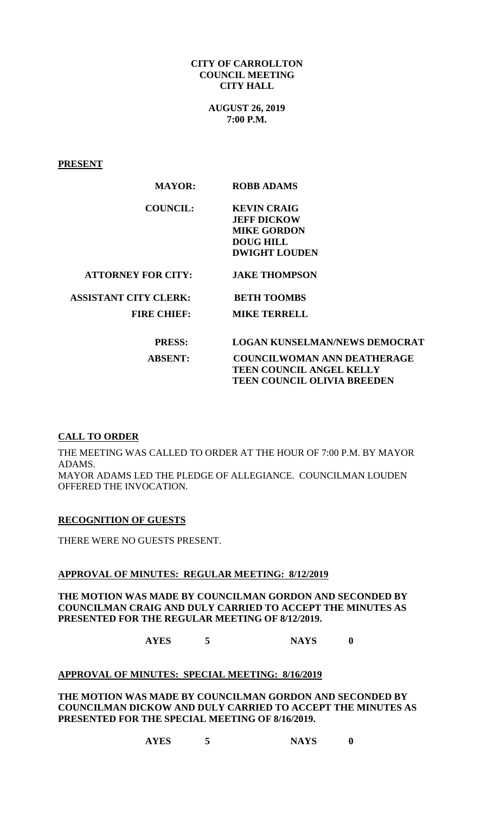#### **CITY OF CARROLLTON COUNCIL MEETING CITY HALL**

**AUGUST 26, 2019 7:00 P.M.**

**PRESENT**

| <b>ROBB ADAMS</b>                    |
|--------------------------------------|
| <b>KEVIN CRAIG</b>                   |
| <b>JEFF DICKOW</b>                   |
| <b>MIKE GORDON</b>                   |
| <b>DOUG HILL</b>                     |
| <b>DWIGHT LOUDEN</b>                 |
| <b>JAKE THOMPSON</b>                 |
| <b>BETH TOOMBS</b>                   |
| <b>MIKE TERRELL</b>                  |
| <b>LOGAN KUNSELMAN/NEWS DEMOCRAT</b> |
| <b>COUNCILWOMAN ANN DEATHERAGE</b>   |
| <b>TEEN COUNCIL ANGEL KELLY</b>      |
| TEEN COUNCIL OLIVIA BREEDEN          |
|                                      |

# **CALL TO ORDER**

THE MEETING WAS CALLED TO ORDER AT THE HOUR OF 7:00 P.M. BY MAYOR ADAMS. MAYOR ADAMS LED THE PLEDGE OF ALLEGIANCE. COUNCILMAN LOUDEN OFFERED THE INVOCATION.

#### **RECOGNITION OF GUESTS**

THERE WERE NO GUESTS PRESENT.

### **APPROVAL OF MINUTES: REGULAR MEETING: 8/12/2019**

**THE MOTION WAS MADE BY COUNCILMAN GORDON AND SECONDED BY COUNCILMAN CRAIG AND DULY CARRIED TO ACCEPT THE MINUTES AS PRESENTED FOR THE REGULAR MEETING OF 8/12/2019.**

**AYES 5 NAYS 0**

## **APPROVAL OF MINUTES: SPECIAL MEETING: 8/16/2019**

**THE MOTION WAS MADE BY COUNCILMAN GORDON AND SECONDED BY COUNCILMAN DICKOW AND DULY CARRIED TO ACCEPT THE MINUTES AS PRESENTED FOR THE SPECIAL MEETING OF 8/16/2019.**

| <b>AYES</b> | <b>NAYS</b> |  |
|-------------|-------------|--|
|             |             |  |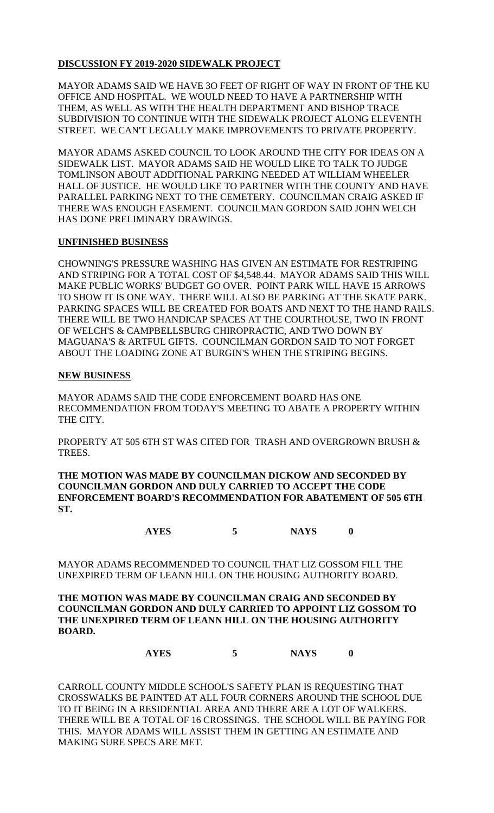# **DISCUSSION FY 2019-2020 SIDEWALK PROJECT**

MAYOR ADAMS SAID WE HAVE 3O FEET OF RIGHT OF WAY IN FRONT OF THE KU OFFICE AND HOSPITAL. WE WOULD NEED TO HAVE A PARTNERSHIP WITH THEM, AS WELL AS WITH THE HEALTH DEPARTMENT AND BISHOP TRACE SUBDIVISION TO CONTINUE WITH THE SIDEWALK PROJECT ALONG ELEVENTH STREET. WE CAN'T LEGALLY MAKE IMPROVEMENTS TO PRIVATE PROPERTY.

MAYOR ADAMS ASKED COUNCIL TO LOOK AROUND THE CITY FOR IDEAS ON A SIDEWALK LIST. MAYOR ADAMS SAID HE WOULD LIKE TO TALK TO JUDGE TOMLINSON ABOUT ADDITIONAL PARKING NEEDED AT WILLIAM WHEELER HALL OF JUSTICE. HE WOULD LIKE TO PARTNER WITH THE COUNTY AND HAVE PARALLEL PARKING NEXT TO THE CEMETERY. COUNCILMAN CRAIG ASKED IF THERE WAS ENOUGH EASEMENT. COUNCILMAN GORDON SAID JOHN WELCH HAS DONE PRELIMINARY DRAWINGS.

## **UNFINISHED BUSINESS**

CHOWNING'S PRESSURE WASHING HAS GIVEN AN ESTIMATE FOR RESTRIPING AND STRIPING FOR A TOTAL COST OF \$4,548.44. MAYOR ADAMS SAID THIS WILL MAKE PUBLIC WORKS' BUDGET GO OVER. POINT PARK WILL HAVE 15 ARROWS TO SHOW IT IS ONE WAY. THERE WILL ALSO BE PARKING AT THE SKATE PARK. PARKING SPACES WILL BE CREATED FOR BOATS AND NEXT TO THE HAND RAILS. THERE WILL BE TWO HANDICAP SPACES AT THE COURTHOUSE, TWO IN FRONT OF WELCH'S & CAMPBELLSBURG CHIROPRACTIC, AND TWO DOWN BY MAGUANA'S & ARTFUL GIFTS. COUNCILMAN GORDON SAID TO NOT FORGET ABOUT THE LOADING ZONE AT BURGIN'S WHEN THE STRIPING BEGINS.

### **NEW BUSINESS**

MAYOR ADAMS SAID THE CODE ENFORCEMENT BOARD HAS ONE RECOMMENDATION FROM TODAY'S MEETING TO ABATE A PROPERTY WITHIN THE CITY.

PROPERTY AT 505 6TH ST WAS CITED FOR TRASH AND OVERGROWN BRUSH & **TREES** 

**THE MOTION WAS MADE BY COUNCILMAN DICKOW AND SECONDED BY COUNCILMAN GORDON AND DULY CARRIED TO ACCEPT THE CODE ENFORCEMENT BOARD'S RECOMMENDATION FOR ABATEMENT OF 505 6TH ST.**

**AYES 5 NAYS 0**

MAYOR ADAMS RECOMMENDED TO COUNCIL THAT LIZ GOSSOM FILL THE UNEXPIRED TERM OF LEANN HILL ON THE HOUSING AUTHORITY BOARD.

**THE MOTION WAS MADE BY COUNCILMAN CRAIG AND SECONDED BY COUNCILMAN GORDON AND DULY CARRIED TO APPOINT LIZ GOSSOM TO THE UNEXPIRED TERM OF LEANN HILL ON THE HOUSING AUTHORITY BOARD.**

### **AYES 5 NAYS 0**

CARROLL COUNTY MIDDLE SCHOOL'S SAFETY PLAN IS REQUESTING THAT CROSSWALKS BE PAINTED AT ALL FOUR CORNERS AROUND THE SCHOOL DUE TO IT BEING IN A RESIDENTIAL AREA AND THERE ARE A LOT OF WALKERS. THERE WILL BE A TOTAL OF 16 CROSSINGS. THE SCHOOL WILL BE PAYING FOR THIS. MAYOR ADAMS WILL ASSIST THEM IN GETTING AN ESTIMATE AND MAKING SURE SPECS ARE MET.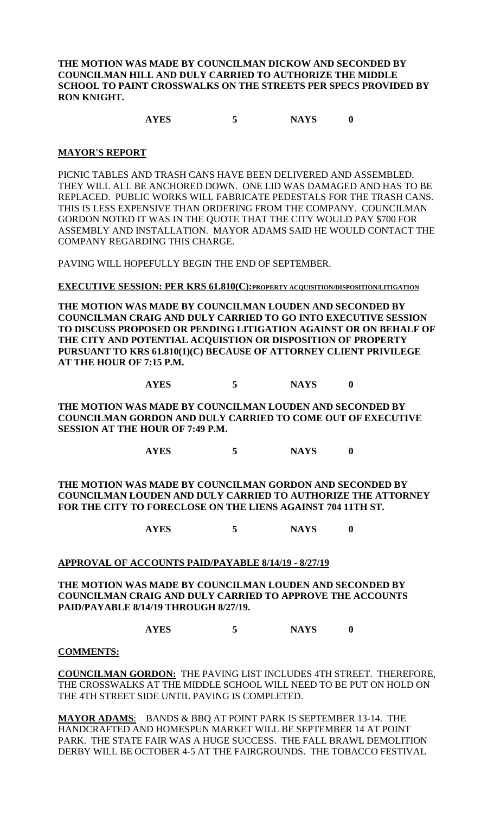**THE MOTION WAS MADE BY COUNCILMAN DICKOW AND SECONDED BY COUNCILMAN HILL AND DULY CARRIED TO AUTHORIZE THE MIDDLE SCHOOL TO PAINT CROSSWALKS ON THE STREETS PER SPECS PROVIDED BY RON KNIGHT.**

**AYES 5 NAYS 0**

#### **MAYOR'S REPORT**

PICNIC TABLES AND TRASH CANS HAVE BEEN DELIVERED AND ASSEMBLED. THEY WILL ALL BE ANCHORED DOWN. ONE LID WAS DAMAGED AND HAS TO BE REPLACED. PUBLIC WORKS WILL FABRICATE PEDESTALS FOR THE TRASH CANS. THIS IS LESS EXPENSIVE THAN ORDERING FROM THE COMPANY. COUNCILMAN GORDON NOTED IT WAS IN THE QUOTE THAT THE CITY WOULD PAY \$700 FOR ASSEMBLY AND INSTALLATION. MAYOR ADAMS SAID HE WOULD CONTACT THE COMPANY REGARDING THIS CHARGE.

PAVING WILL HOPEFULLY BEGIN THE END OF SEPTEMBER.

#### **EXECUTIVE SESSION: PER KRS 61.810(C):PROPERTY ACQUISITION/DISPOSITION/LITIGATION**

**THE MOTION WAS MADE BY COUNCILMAN LOUDEN AND SECONDED BY COUNCILMAN CRAIG AND DULY CARRIED TO GO INTO EXECUTIVE SESSION TO DISCUSS PROPOSED OR PENDING LITIGATION AGAINST OR ON BEHALF OF THE CITY AND POTENTIAL ACQUISTION OR DISPOSITION OF PROPERTY PURSUANT TO KRS 61.810(1)(C) BECAUSE OF ATTORNEY CLIENT PRIVILEGE AT THE HOUR OF 7:15 P.M.**

**AYES 5 NAYS 0**

**THE MOTION WAS MADE BY COUNCILMAN LOUDEN AND SECONDED BY COUNCILMAN GORDON AND DULY CARRIED TO COME OUT OF EXECUTIVE SESSION AT THE HOUR OF 7:49 P.M.**

**AYES 5 NAYS 0**

**THE MOTION WAS MADE BY COUNCILMAN GORDON AND SECONDED BY COUNCILMAN LOUDEN AND DULY CARRIED TO AUTHORIZE THE ATTORNEY FOR THE CITY TO FORECLOSE ON THE LIENS AGAINST 704 11TH ST.**

**AYES 5 NAYS 0**

### **APPROVAL OF ACCOUNTS PAID/PAYABLE 8/14/19 - 8/27/19**

**THE MOTION WAS MADE BY COUNCILMAN LOUDEN AND SECONDED BY COUNCILMAN CRAIG AND DULY CARRIED TO APPROVE THE ACCOUNTS PAID/PAYABLE 8/14/19 THROUGH 8/27/19.**

**AYES 5 NAYS 0**

### **COMMENTS:**

**COUNCILMAN GORDON:** THE PAVING LIST INCLUDES 4TH STREET. THEREFORE, THE CROSSWALKS AT THE MIDDLE SCHOOL WILL NEED TO BE PUT ON HOLD ON THE 4TH STREET SIDE UNTIL PAVING IS COMPLETED.

**MAYOR ADAMS**: BANDS & BBQ AT POINT PARK IS SEPTEMBER 13-14. THE HANDCRAFTED AND HOMESPUN MARKET WILL BE SEPTEMBER 14 AT POINT PARK. THE STATE FAIR WAS A HUGE SUCCESS. THE FALL BRAWL DEMOLITION DERBY WILL BE OCTOBER 4-5 AT THE FAIRGROUNDS. THE TOBACCO FESTIVAL